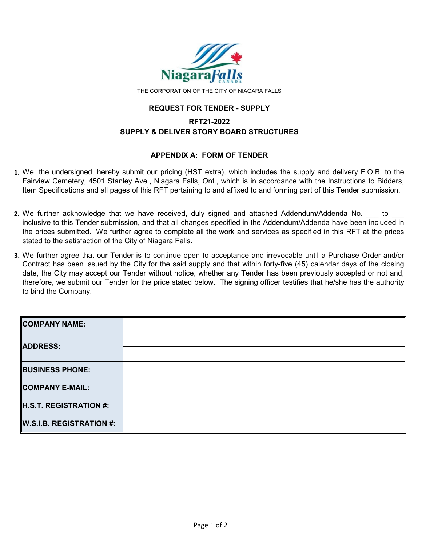

THE CORPORATION OF THE CITY OF NIAGARA FALLS

#### **REQUEST FOR TENDER - SUPPLY**

# **SUPPLY & DELIVER STORY BOARD STRUCTURES RFT21-2022**

### **APPENDIX A: FORM OF TENDER**

- **1.** We, the undersigned, hereby submit our pricing (HST extra), which includes the supply and delivery F.O.B. to the Fairview Cemetery, 4501 Stanley Ave., Niagara Falls, Ont., which is in accordance with the Instructions to Bidders, Item Specifications and all pages of this RFT pertaining to and affixed to and forming part of this Tender submission.
- **2.** We further acknowledge that we have received, duly signed and attached Addendum/Addenda No. \_\_\_ to \_\_\_ inclusive to this Tender submission, and that all changes specified in the Addendum/Addenda have been included in the prices submitted. We further agree to complete all the work and services as specified in this RFT at the prices stated to the satisfaction of the City of Niagara Falls.
- **3.** We further agree that our Tender is to continue open to acceptance and irrevocable until a Purchase Order and/or Contract has been issued by the City for the said supply and that within forty-five (45) calendar days of the closing date, the City may accept our Tender without notice, whether any Tender has been previously accepted or not and, therefore, we submit our Tender for the price stated below. The signing officer testifies that he/she has the authority to bind the Company.

| <b>COMPANY NAME:</b>            |  |
|---------------------------------|--|
| ADDRESS:                        |  |
|                                 |  |
| <b>BUSINESS PHONE:</b>          |  |
| <b>COMPANY E-MAIL:</b>          |  |
| <b>H.S.T. REGISTRATION #:</b>   |  |
| <b>W.S.I.B. REGISTRATION #:</b> |  |